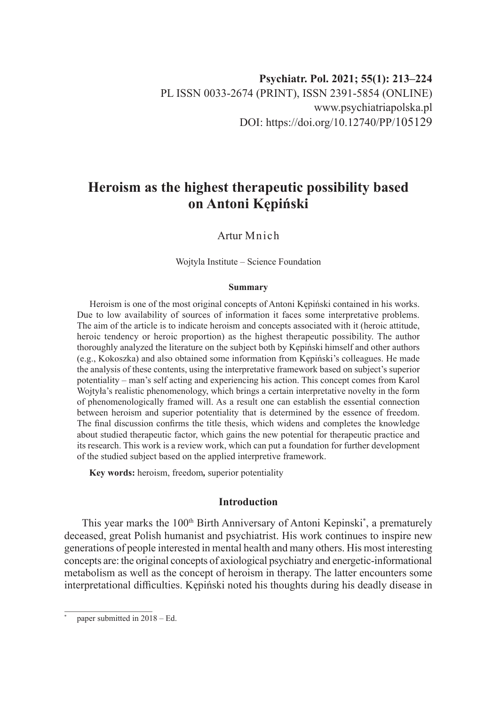# **Heroism as the highest therapeutic possibility based on Antoni Kępiński**

Artur Mnich

Wojtyla Institute – Science Foundation

#### **Summary**

Heroism is one of the most original concepts of Antoni Kępiński contained in his works. Due to low availability of sources of information it faces some interpretative problems. The aim of the article is to indicate heroism and concepts associated with it (heroic attitude, heroic tendency or heroic proportion) as the highest therapeutic possibility. The author thoroughly analyzed the literature on the subject both by Kępiński himself and other authors (e.g., Kokoszka) and also obtained some information from Kępiński's colleagues. He made the analysis of these contents, using the interpretative framework based on subject's superior potentiality – man's self acting and experiencing his action. This concept comes from Karol Wojtyła's realistic phenomenology, which brings a certain interpretative novelty in the form of phenomenologically framed will. As a result one can establish the essential connection between heroism and superior potentiality that is determined by the essence of freedom. The final discussion confirms the title thesis, which widens and completes the knowledge about studied therapeutic factor, which gains the new potential for therapeutic practice and its research. This work is a review work, which can put a foundation for further development of the studied subject based on the applied interpretive framework.

**Key words:** heroism, freedom*,* superior potentiality

# **Introduction**

This year marks the 100<sup>th</sup> Birth Anniversary of Antoni Kepinski<sup>\*</sup>, a prematurely deceased, great Polish humanist and psychiatrist. His work continues to inspire new generations of people interested in mental health and many others. His most interesting concepts are: the original concepts of axiological psychiatry and energetic-informational metabolism as well as the concept of heroism in therapy. The latter encounters some interpretational difficulties. Kępiński noted his thoughts during his deadly disease in

paper submitted in  $2018 - Ed$ .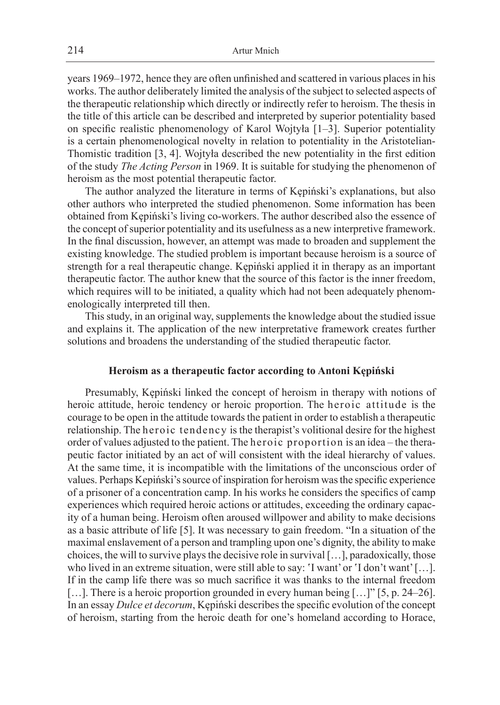years 1969–1972, hence they are often unfinished and scattered in various places in his works. The author deliberately limited the analysis of the subject to selected aspects of the therapeutic relationship which directly or indirectly refer to heroism. The thesis in the title of this article can be described and interpreted by superior potentiality based on specific realistic phenomenology of Karol Wojtyła [1–3]. Superior potentiality is a certain phenomenological novelty in relation to potentiality in the Aristotelian-Thomistic tradition [3, 4]. Wojtyła described the new potentiality in the first edition of the study *The Acting Person* in 1969. It is suitable for studying the phenomenon of heroism as the most potential therapeutic factor.

The author analyzed the literature in terms of Kępiński's explanations, but also other authors who interpreted the studied phenomenon. Some information has been obtained from Kępiński's living co-workers. The author described also the essence of the concept of superior potentiality and its usefulness as a new interpretive framework. In the final discussion, however, an attempt was made to broaden and supplement the existing knowledge. The studied problem is important because heroism is a source of strength for a real therapeutic change. Kępiński applied it in therapy as an important therapeutic factor. The author knew that the source of this factor is the inner freedom, which requires will to be initiated, a quality which had not been adequately phenomenologically interpreted till then.

This study, in an original way, supplements the knowledge about the studied issue and explains it. The application of the new interpretative framework creates further solutions and broadens the understanding of the studied therapeutic factor.

# **Heroism as a therapeutic factor according to Antoni Kępiński**

Presumably, Kępiński linked the concept of heroism in therapy with notions of heroic attitude, heroic tendency or heroic proportion. The heroic attitude is the courage to be open in the attitude towards the patient in order to establish a therapeutic relationship. The heroic tendency is the therapist's volitional desire for the highest order of values adjusted to the patient. The heroic proportion is an idea – the therapeutic factor initiated by an act of will consistent with the ideal hierarchy of values. At the same time, it is incompatible with the limitations of the unconscious order of values. Perhaps Kepiński's source of inspiration for heroism was the specific experience of a prisoner of a concentration camp. In his works he considers the specifics of camp experiences which required heroic actions or attitudes, exceeding the ordinary capacity of a human being. Heroism often aroused willpower and ability to make decisions as a basic attribute of life [5]. It was necessary to gain freedom. "In a situation of the maximal enslavement of a person and trampling upon one's dignity, the ability to make choices, the will to survive plays the decisive role in survival […], paradoxically, those who lived in an extreme situation, were still able to say: 'I want' or 'I don't want' […]. If in the camp life there was so much sacrifice it was thanks to the internal freedom [...]. There is a heroic proportion grounded in every human being [...]" [5, p. 24–26]. In an essay *Dulce et decorum*, Kępiński describes the specific evolution of the concept of heroism, starting from the heroic death for one's homeland according to Horace,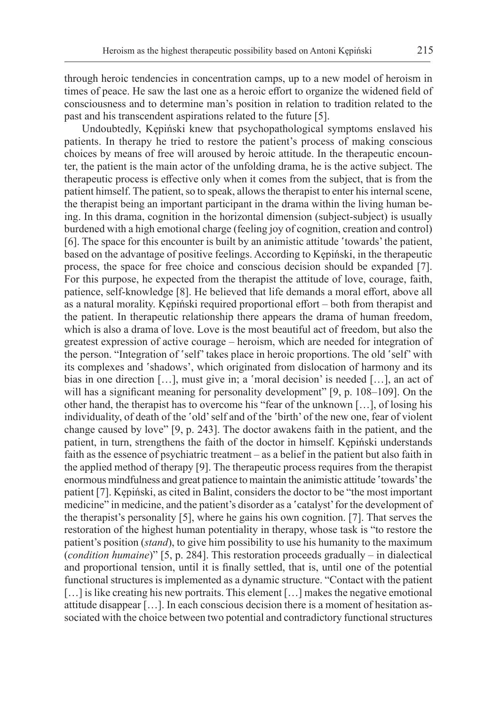through heroic tendencies in concentration camps, up to a new model of heroism in times of peace. He saw the last one as a heroic effort to organize the widened field of consciousness and to determine man's position in relation to tradition related to the past and his transcendent aspirations related to the future [5].

Undoubtedly, Kępiński knew that psychopathological symptoms enslaved his patients. In therapy he tried to restore the patient's process of making conscious choices by means of free will aroused by heroic attitude. In the therapeutic encounter, the patient is the main actor of the unfolding drama, he is the active subject. The therapeutic process is effective only when it comes from the subject, that is from the patient himself. The patient, so to speak, allows the therapist to enter his internal scene, the therapist being an important participant in the drama within the living human being. In this drama, cognition in the horizontal dimension (subject-subject) is usually burdened with a high emotional charge (feeling joy of cognition, creation and control) [6]. The space for this encounter is built by an animistic attitude 'towards' the patient, based on the advantage of positive feelings. According to Kępiński, in the therapeutic process, the space for free choice and conscious decision should be expanded [7]. For this purpose, he expected from the therapist the attitude of love, courage, faith, patience, self-knowledge [8]. He believed that life demands a moral effort, above all as a natural morality. Kępiński required proportional effort – both from therapist and the patient. In therapeutic relationship there appears the drama of human freedom, which is also a drama of love. Love is the most beautiful act of freedom, but also the greatest expression of active courage – heroism, which are needed for integration of the person. "Integration of 'self' takes place in heroic proportions. The old 'self' with its complexes and 'shadows', which originated from dislocation of harmony and its bias in one direction […], must give in; a 'moral decision' is needed […], an act of will has a significant meaning for personality development" [9, p. 108–109]. On the other hand, the therapist has to overcome his "fear of the unknown […], of losing his individuality, of death of the 'old' self and of the 'birth' of the new one, fear of violent change caused by love" [9, p. 243]. The doctor awakens faith in the patient, and the patient, in turn, strengthens the faith of the doctor in himself. Kępiński understands faith as the essence of psychiatric treatment – as a belief in the patient but also faith in the applied method of therapy [9]. The therapeutic process requires from the therapist enormous mindfulness and great patience to maintain the animistic attitude 'towards' the patient [7]. Kępiński, as cited in Balint, considers the doctor to be "the most important medicine" in medicine, and the patient's disorder as a 'catalyst' for the development of the therapist's personality [5], where he gains his own cognition. [7]. That serves the restoration of the highest human potentiality in therapy, whose task is "to restore the patient's position (*stand*), to give him possibility to use his humanity to the maximum (*condition humaine*)" [5, p. 284]. This restoration proceeds gradually – in dialectical and proportional tension, until it is finally settled, that is, until one of the potential functional structures is implemented as a dynamic structure. "Contact with the patient [...] is like creating his new portraits. This element [...] makes the negative emotional attitude disappear […]. In each conscious decision there is a moment of hesitation associated with the choice between two potential and contradictory functional structures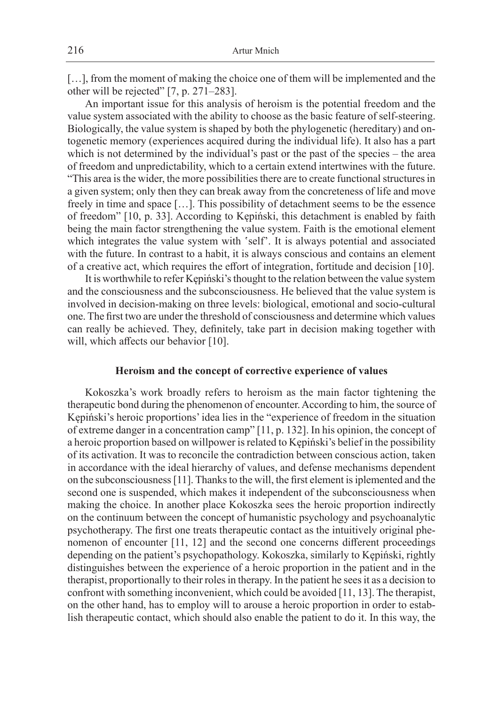[...], from the moment of making the choice one of them will be implemented and the other will be rejected" [7, p. 271–283].

An important issue for this analysis of heroism is the potential freedom and the value system associated with the ability to choose as the basic feature of self-steering. Biologically, the value system is shaped by both the phylogenetic (hereditary) and ontogenetic memory (experiences acquired during the individual life). It also has a part which is not determined by the individual's past or the past of the species – the area of freedom and unpredictability, which to a certain extend intertwines with the future. "This area is the wider, the more possibilities there are to create functional structures in a given system; only then they can break away from the concreteness of life and move freely in time and space […]. This possibility of detachment seems to be the essence of freedom" [10, p. 33]. According to Kępiński, this detachment is enabled by faith being the main factor strengthening the value system. Faith is the emotional element which integrates the value system with 'self'. It is always potential and associated with the future. In contrast to a habit, it is always conscious and contains an element of a creative act, which requires the effort of integration, fortitude and decision [10].

It is worthwhile to refer Kępiński's thought to the relation between the value system and the consciousness and the subconsciousness. He believed that the value system is involved in decision-making on three levels: biological, emotional and socio-cultural one. The first two are under the threshold of consciousness and determine which values can really be achieved. They, definitely, take part in decision making together with will, which affects our behavior [10].

#### **Heroism and the concept of corrective experience of values**

Kokoszka's work broadly refers to heroism as the main factor tightening the therapeutic bond during the phenomenon of encounter. According to him, the source of Kępiński's heroic proportions' idea lies in the "experience of freedom in the situation of extreme danger in a concentration camp" [11, p. 132]. In his opinion, the concept of a heroic proportion based on willpower is related to Kępiński's belief in the possibility of its activation. It was to reconcile the contradiction between conscious action, taken in accordance with the ideal hierarchy of values, and defense mechanisms dependent on the subconsciousness [11]. Thanks to the will, the first element is iplemented and the second one is suspended, which makes it independent of the subconsciousness when making the choice. In another place Kokoszka sees the heroic proportion indirectly on the continuum between the concept of humanistic psychology and psychoanalytic psychotherapy. The first one treats therapeutic contact as the intuitively original phenomenon of encounter [11, 12] and the second one concerns different proceedings depending on the patient's psychopathology. Kokoszka, similarly to Kępiński, rightly distinguishes between the experience of a heroic proportion in the patient and in the therapist, proportionally to their roles in therapy. In the patient he sees it as a decision to confront with something inconvenient, which could be avoided [11, 13]. The therapist, on the other hand, has to employ will to arouse a heroic proportion in order to establish therapeutic contact, which should also enable the patient to do it. In this way, the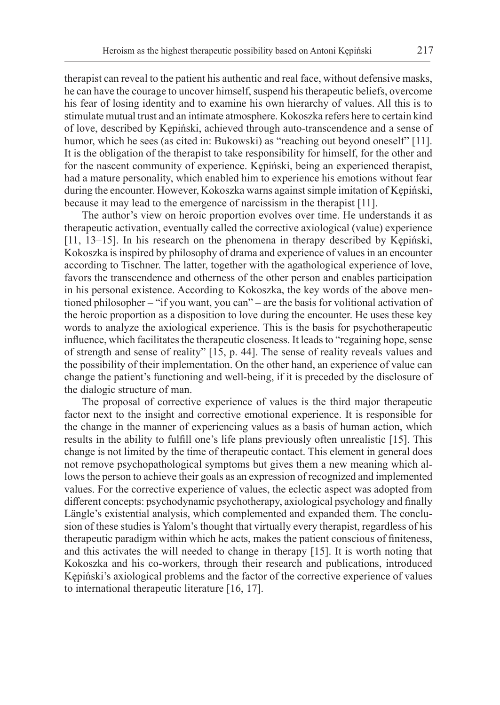therapist can reveal to the patient his authentic and real face, without defensive masks, he can have the courage to uncover himself, suspend his therapeutic beliefs, overcome his fear of losing identity and to examine his own hierarchy of values. All this is to stimulate mutual trust and an intimate atmosphere. Kokoszka refers here to certain kind of love, described by Kępiński, achieved through auto-transcendence and a sense of humor, which he sees (as cited in: Bukowski) as "reaching out beyond oneself" [11]. It is the obligation of the therapist to take responsibility for himself, for the other and for the nascent community of experience. Kępiński, being an experienced therapist, had a mature personality, which enabled him to experience his emotions without fear during the encounter. However, Kokoszka warns against simple imitation of Kępiński, because it may lead to the emergence of narcissism in the therapist [11].

The author's view on heroic proportion evolves over time. He understands it as therapeutic activation, eventually called the corrective axiological (value) experience [11, 13–15]. In his research on the phenomena in therapy described by Kępiński, Kokoszka is inspired by philosophy of drama and experience of values in an encounter according to Tischner. The latter, together with the agathological experience of love, favors the transcendence and otherness of the other person and enables participation in his personal existence. According to Kokoszka, the key words of the above mentioned philosopher – "if you want, you can" – are the basis for volitional activation of the heroic proportion as a disposition to love during the encounter. He uses these key words to analyze the axiological experience. This is the basis for psychotherapeutic influence, which facilitates the therapeutic closeness. It leads to "regaining hope, sense of strength and sense of reality" [15, p. 44]. The sense of reality reveals values and the possibility of their implementation. On the other hand, an experience of value can change the patient's functioning and well-being, if it is preceded by the disclosure of the dialogic structure of man.

The proposal of corrective experience of values is the third major therapeutic factor next to the insight and corrective emotional experience. It is responsible for the change in the manner of experiencing values as a basis of human action, which results in the ability to fulfill one's life plans previously often unrealistic [15]. This change is not limited by the time of therapeutic contact. This element in general does not remove psychopathological symptoms but gives them a new meaning which allows the person to achieve their goals as an expression of recognized and implemented values. For the corrective experience of values, the eclectic aspect was adopted from different concepts: psychodynamic psychotherapy, axiological psychology and finally Längle's existential analysis, which complemented and expanded them. The conclusion of these studies is Yalom's thought that virtually every therapist, regardless of his therapeutic paradigm within which he acts, makes the patient conscious of finiteness, and this activates the will needed to change in therapy [15]. It is worth noting that Kokoszka and his co-workers, through their research and publications, introduced Kępiński's axiological problems and the factor of the corrective experience of values to international therapeutic literature [16, 17].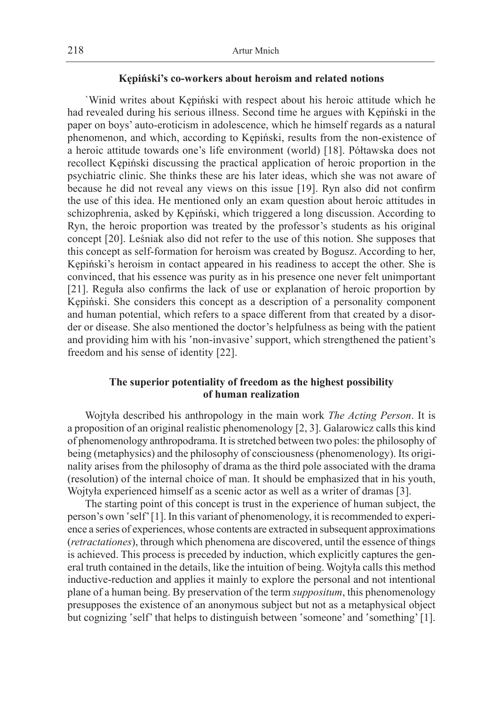### **Kępiński's co-workers about heroism and related notions**

`Winid writes about Kępiński with respect about his heroic attitude which he had revealed during his serious illness. Second time he argues with Kępiński in the paper on boys' auto-eroticism in adolescence, which he himself regards as a natural phenomenon, and which, according to Kępiński, results from the non-existence of a heroic attitude towards one's life environment (world) [18]. Półtawska does not recollect Kępiński discussing the practical application of heroic proportion in the psychiatric clinic. She thinks these are his later ideas, which she was not aware of because he did not reveal any views on this issue [19]. Ryn also did not confirm the use of this idea. He mentioned only an exam question about heroic attitudes in schizophrenia, asked by Kępiński, which triggered a long discussion. According to Ryn, the heroic proportion was treated by the professor's students as his original concept [20]. Leśniak also did not refer to the use of this notion. She supposes that this concept as self-formation for heroism was created by Bogusz. According to her, Kępiński's heroism in contact appeared in his readiness to accept the other. She is convinced, that his essence was purity as in his presence one never felt unimportant [21]. Reguła also confirms the lack of use or explanation of heroic proportion by Kępiński. She considers this concept as a description of a personality component and human potential, which refers to a space different from that created by a disorder or disease. She also mentioned the doctor's helpfulness as being with the patient and providing him with his 'non-invasive' support, which strengthened the patient's freedom and his sense of identity [22].

# **The superior potentiality of freedom as the highest possibility of human realization**

Wojtyła described his anthropology in the main work *The Acting Person*. It is a proposition of an original realistic phenomenology [2, 3]. Galarowicz calls this kind of phenomenology anthropodrama. It is stretched between two poles: the philosophy of being (metaphysics) and the philosophy of consciousness (phenomenology). Its originality arises from the philosophy of drama as the third pole associated with the drama (resolution) of the internal choice of man. It should be emphasized that in his youth, Wojtyła experienced himself as a scenic actor as well as a writer of dramas [3].

The starting point of this concept is trust in the experience of human subject, the person's own 'self' [1]. In this variant of phenomenology, it is recommended to experience a series of experiences, whose contents are extracted in subsequent approximations (*retractationes*), through which phenomena are discovered, until the essence of things is achieved. This process is preceded by induction, which explicitly captures the general truth contained in the details, like the intuition of being. Wojtyła calls this method inductive-reduction and applies it mainly to explore the personal and not intentional plane of a human being. By preservation of the term *suppositum*, this phenomenology presupposes the existence of an anonymous subject but not as a metaphysical object but cognizing 'self' that helps to distinguish between 'someone' and 'something' [1].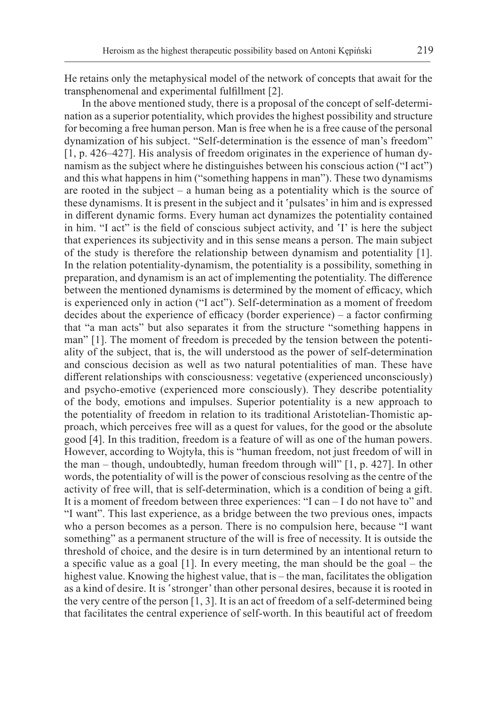He retains only the metaphysical model of the network of concepts that await for the transphenomenal and experimental fulfillment [2].

In the above mentioned study, there is a proposal of the concept of self-determination as a superior potentiality, which provides the highest possibility and structure for becoming a free human person. Man is free when he is a free cause of the personal dynamization of his subject. "Self-determination is the essence of man's freedom" [1, p. 426–427]. His analysis of freedom originates in the experience of human dynamism as the subject where he distinguishes between his conscious action ("I act") and this what happens in him ("something happens in man"). These two dynamisms are rooted in the subject – a human being as a potentiality which is the source of these dynamisms. It is present in the subject and it 'pulsates' in him and is expressed in different dynamic forms. Every human act dynamizes the potentiality contained in him. "I act" is the field of conscious subject activity, and 'I' is here the subject that experiences its subjectivity and in this sense means a person. The main subject of the study is therefore the relationship between dynamism and potentiality [1]. In the relation potentiality-dynamism, the potentiality is a possibility, something in preparation, and dynamism is an act of implementing the potentiality. The difference between the mentioned dynamisms is determined by the moment of efficacy, which is experienced only in action ("I act"). Self-determination as a moment of freedom decides about the experience of efficacy (border experience) – a factor confirming that "a man acts" but also separates it from the structure "something happens in man" [1]. The moment of freedom is preceded by the tension between the potentiality of the subject, that is, the will understood as the power of self-determination and conscious decision as well as two natural potentialities of man. These have different relationships with consciousness: vegetative (experienced unconsciously) and psycho-emotive (experienced more consciously). They describe potentiality of the body, emotions and impulses. Superior potentiality is a new approach to the potentiality of freedom in relation to its traditional Aristotelian-Thomistic approach, which perceives free will as a quest for values, for the good or the absolute good [4]. In this tradition, freedom is a feature of will as one of the human powers. However, according to Wojtyła, this is "human freedom, not just freedom of will in the man – though, undoubtedly, human freedom through will" [1, p. 427]. In other words, the potentiality of will is the power of conscious resolving as the centre of the activity of free will, that is self-determination, which is a condition of being a gift. It is a moment of freedom between three experiences: "I can – I do not have to" and "I want". This last experience, as a bridge between the two previous ones, impacts who a person becomes as a person. There is no compulsion here, because "I want something" as a permanent structure of the will is free of necessity. It is outside the threshold of choice, and the desire is in turn determined by an intentional return to a specific value as a goal [1]. In every meeting, the man should be the goal – the highest value. Knowing the highest value, that is – the man, facilitates the obligation as a kind of desire. It is 'stronger' than other personal desires, because it is rooted in the very centre of the person [1, 3]. It is an act of freedom of a self-determined being that facilitates the central experience of self-worth. In this beautiful act of freedom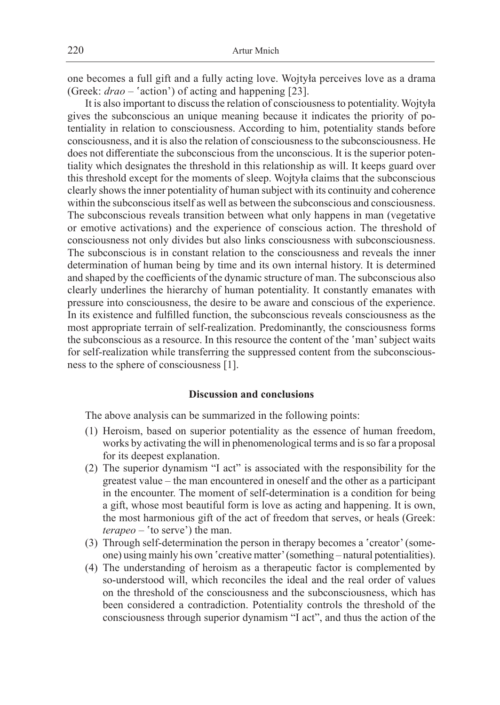one becomes a full gift and a fully acting love. Wojtyła perceives love as a drama (Greek: *drao* – 'action') of acting and happening [23].

It is also important to discuss the relation of consciousness to potentiality. Wojtyła gives the subconscious an unique meaning because it indicates the priority of potentiality in relation to consciousness. According to him, potentiality stands before consciousness, and it is also the relation of consciousness to the subconsciousness. He does not differentiate the subconscious from the unconscious. It is the superior potentiality which designates the threshold in this relationship as will. It keeps guard over this threshold except for the moments of sleep. Wojtyła claims that the subconscious clearly shows the inner potentiality of human subject with its continuity and coherence within the subconscious itself as well as between the subconscious and consciousness. The subconscious reveals transition between what only happens in man (vegetative or emotive activations) and the experience of conscious action. The threshold of consciousness not only divides but also links consciousness with subconsciousness. The subconscious is in constant relation to the consciousness and reveals the inner determination of human being by time and its own internal history. It is determined and shaped by the coefficients of the dynamic structure of man. The subconscious also clearly underlines the hierarchy of human potentiality. It constantly emanates with pressure into consciousness, the desire to be aware and conscious of the experience. In its existence and fulfilled function, the subconscious reveals consciousness as the most appropriate terrain of self-realization. Predominantly, the consciousness forms the subconscious as a resource. In this resource the content of the 'man' subject waits for self-realization while transferring the suppressed content from the subconsciousness to the sphere of consciousness [1].

#### **Discussion and conclusions**

The above analysis can be summarized in the following points:

- (1) Heroism, based on superior potentiality as the essence of human freedom, works by activating the will in phenomenological terms and is so far a proposal for its deepest explanation.
- (2) The superior dynamism "I act" is associated with the responsibility for the greatest value – the man encountered in oneself and the other as a participant in the encounter. The moment of self-determination is a condition for being a gift, whose most beautiful form is love as acting and happening. It is own, the most harmonious gift of the act of freedom that serves, or heals (Greek: *terapeo* – 'to serve') the man.
- (3) Through self-determination the person in therapy becomes a 'creator' (someone) using mainly his own 'creative matter' (something – natural potentialities).
- (4) The understanding of heroism as a therapeutic factor is complemented by so-understood will, which reconciles the ideal and the real order of values on the threshold of the consciousness and the subconsciousness, which has been considered a contradiction. Potentiality controls the threshold of the consciousness through superior dynamism "I act", and thus the action of the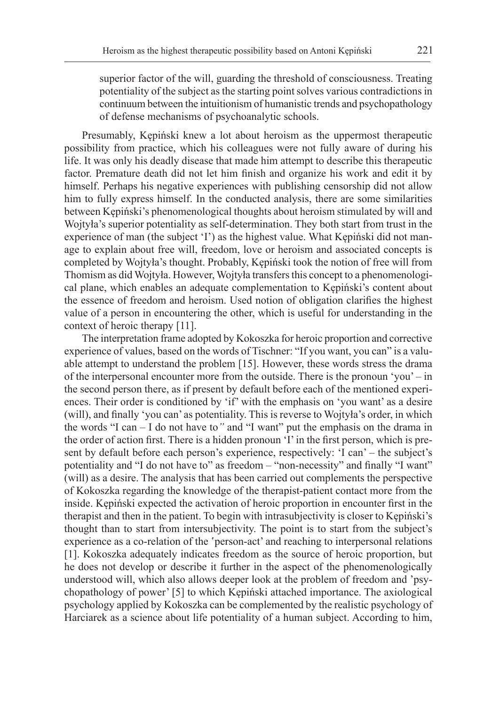superior factor of the will, guarding the threshold of consciousness. Treating potentiality of the subject as the starting point solves various contradictions in continuum between the intuitionism of humanistic trends and psychopathology of defense mechanisms of psychoanalytic schools.

Presumably, Kępiński knew a lot about heroism as the uppermost therapeutic possibility from practice, which his colleagues were not fully aware of during his life. It was only his deadly disease that made him attempt to describe this therapeutic factor. Premature death did not let him finish and organize his work and edit it by himself. Perhaps his negative experiences with publishing censorship did not allow him to fully express himself. In the conducted analysis, there are some similarities between Kępiński's phenomenological thoughts about heroism stimulated by will and Wojtyła's superior potentiality as self-determination. They both start from trust in the experience of man (the subject 'I') as the highest value. What Kępiński did not manage to explain about free will, freedom, love or heroism and associated concepts is completed by Wojtyła's thought. Probably, Kępiński took the notion of free will from Thomism as did Wojtyła. However, Wojtyła transfers this concept to a phenomenological plane, which enables an adequate complementation to Kępiński's content about the essence of freedom and heroism. Used notion of obligation clarifies the highest value of a person in encountering the other, which is useful for understanding in the context of heroic therapy [11].

The interpretation frame adopted by Kokoszka for heroic proportion and corrective experience of values, based on the words of Tischner: "If you want, you can" is a valuable attempt to understand the problem [15]. However, these words stress the drama of the interpersonal encounter more from the outside. There is the pronoun 'you' – in the second person there, as if present by default before each of the mentioned experiences. Their order is conditioned by 'if' with the emphasis on 'you want' as a desire (will), and finally 'you can' as potentiality. This is reverse to Wojtyła's order, in which the words "I can – I do not have to*"* and "I want" put the emphasis on the drama in the order of action first. There is a hidden pronoun 'I' in the first person, which is present by default before each person's experience, respectively: 'I can' – the subject's potentiality and "I do not have to" as freedom – "non-necessity" and finally "I want" (will) as a desire. The analysis that has been carried out complements the perspective of Kokoszka regarding the knowledge of the therapist-patient contact more from the inside. Kępiński expected the activation of heroic proportion in encounter first in the therapist and then in the patient. To begin with intrasubjectivity is closer to Kępiński's thought than to start from intersubjectivity. The point is to start from the subject's experience as a co-relation of the 'person-act' and reaching to interpersonal relations [1]. Kokoszka adequately indicates freedom as the source of heroic proportion, but he does not develop or describe it further in the aspect of the phenomenologically understood will, which also allows deeper look at the problem of freedom and 'psychopathology of power' [5] to which Kępiński attached importance. The axiological psychology applied by Kokoszka can be complemented by the realistic psychology of Harciarek as a science about life potentiality of a human subject. According to him,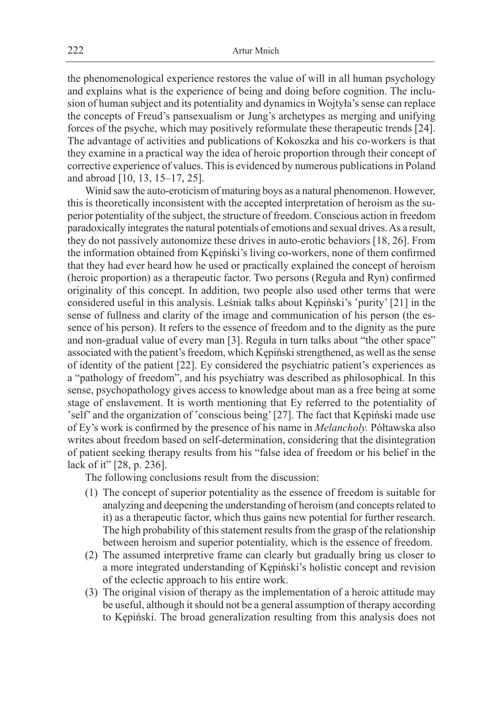the phenomenological experience restores the value of will in all human psychology and explains what is the experience of being and doing before cognition. The inclusion of human subject and its potentiality and dynamics in Wojtyła's sense can replace the concepts of Freud's pansexualism or Jung's archetypes as merging and unifying forces of the psyche, which may positively reformulate these therapeutic trends [24]. The advantage of activities and publications of Kokoszka and his co-workers is that they examine in a practical way the idea of heroic proportion through their concept of corrective experience of values. This is evidenced by numerous publications in Poland and abroad [10, 13, 15–17, 25].

Winid saw the auto-eroticism of maturing boys as a natural phenomenon. However, this is theoretically inconsistent with the accepted interpretation of heroism as the superior potentiality of the subject, the structure of freedom. Conscious action in freedom paradoxically integrates the natural potentials of emotions and sexual drives. As a result, they do not passively autonomize these drives in auto-erotic behaviors [18, 26]. From the information obtained from Kępiński's living co-workers, none of them confirmed that they had ever heard how he used or practically explained the concept of heroism (heroic proportion) as a therapeutic factor. Two persons (Reguła and Ryn) confirmed originality of this concept. In addition, two people also used other terms that were considered useful in this analysis. Leśniak talks about Kępiński's 'purity' [21] in the sense of fullness and clarity of the image and communication of his person (the essence of his person). It refers to the essence of freedom and to the dignity as the pure and non-gradual value of every man [3]. Reguła in turn talks about "the other space" associated with the patient's freedom, which Kępiński strengthened, as well as the sense of identity of the patient [22]. Ey considered the psychiatric patient's experiences as a "pathology of freedom", and his psychiatry was described as philosophical. In this sense, psychopathology gives access to knowledge about man as a free being at some stage of enslavement. It is worth mentioning that Ey referred to the potentiality of 'self' and the organization of 'conscious being' [27]. The fact that Kępiński made use of Ey's work is confirmed by the presence of his name in *Melancholy.* Półtawska also writes about freedom based on self-determination, considering that the disintegration of patient seeking therapy results from his "false idea of freedom or his belief in the lack of it" [28, p. 236].

The following conclusions result from the discussion:

- (1) The concept of superior potentiality as the essence of freedom is suitable for analyzing and deepening the understanding of heroism (and concepts related to it) as a therapeutic factor, which thus gains new potential for further research. The high probability of this statement results from the grasp of the relationship between heroism and superior potentiality, which is the essence of freedom.
- (2) The assumed interpretive frame can clearly but gradually bring us closer to a more integrated understanding of Kępiński's holistic concept and revision of the eclectic approach to his entire work.
- (3) The original vision of therapy as the implementation of a heroic attitude may be useful, although it should not be a general assumption of therapy according to Kępiński. The broad generalization resulting from this analysis does not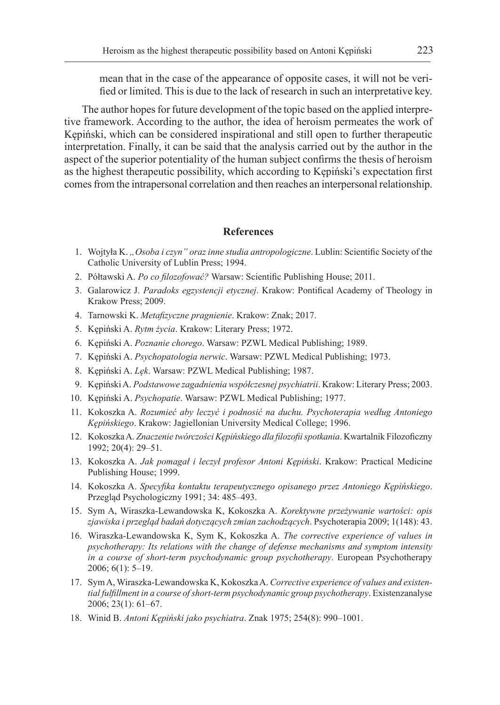mean that in the case of the appearance of opposite cases, it will not be verified or limited. This is due to the lack of research in such an interpretative key.

The author hopes for future development of the topic based on the applied interpretive framework. According to the author, the idea of heroism permeates the work of Kępiński, which can be considered inspirational and still open to further therapeutic interpretation. Finally, it can be said that the analysis carried out by the author in the aspect of the superior potentiality of the human subject confirms the thesis of heroism as the highest therapeutic possibility, which according to Kępiński's expectation first comes from the intrapersonal correlation and then reaches an interpersonal relationship.

# **References**

- 1. Wojtyła K. *"Osoba i czyn" oraz inne studia antropologiczne*. Lublin: Scientific Society of the Catholic University of Lublin Press; 1994.
- 2. Półtawski A. *Po co filozofować?* Warsaw: Scientific Publishing House; 2011.
- 3. Galarowicz J. *Paradoks egzystencji etycznej*. Krakow: Pontifical Academy of Theology in Krakow Press; 2009.
- 4. Tarnowski K. *Metafizyczne pragnienie*. Krakow: Znak; 2017.
- 5. Kępiński A. *Rytm życia*. Krakow: Literary Press; 1972.
- 6. Kępiński A. *Poznanie chorego*. Warsaw: PZWL Medical Publishing; 1989.
- 7. Kępiński A. *Psychopatologia nerwic*. Warsaw: PZWL Medical Publishing; 1973.
- 8. Kępiński A. *Lęk*. Warsaw: PZWL Medical Publishing; 1987.
- 9. Kępiński A. *Podstawowe zagadnienia współczesnej psychiatrii*. Krakow: Literary Press; 2003.
- 10. Kępiński A. *Psychopatie*. Warsaw: PZWL Medical Publishing; 1977.
- 11. Kokoszka A. *Rozumieć aby leczyć i podnosić na duchu. Psychoterapia według Antoniego Kępińskiego*. Krakow: Jagiellonian University Medical College; 1996.
- 12. Kokoszka A. *Znaczenie twórczości Kępińskiego dla filozofii spotkania*. Kwartalnik Filozoficzny 1992; 20(4): 29–51.
- 13. Kokoszka A. *Jak pomagał i leczył profesor Antoni Kępiński*. Krakow: Practical Medicine Publishing House; 1999.
- 14. Kokoszka A. *Specyfika kontaktu terapeutycznego opisanego przez Antoniego Kępińskiego*. Przegląd Psychologiczny 1991; 34: 485–493.
- 15. Sym A, Wiraszka-Lewandowska K, Kokoszka A. *Korektywne przeżywanie wartości: opis zjawiska i przegląd badań dotyczących zmian zachodzących*. Psychoterapia 2009; 1(148): 43.
- 16. Wiraszka-Lewandowska K, Sym K, Kokoszka A. *The corrective experience of values in psychotherapy: Its relations with the change of defense mechanisms and symptom intensity in a course of short-term psychodynamic group psychotherapy*. European Psychotherapy 2006; 6(1): 5–19.
- 17. Sym A, Wiraszka-Lewandowska K, Kokoszka A. *Corrective experience of values and existential fulfillment in a course of short-term psychodynamic group psychotherapy*. Existenzanalyse 2006; 23(1): 61–67.
- 18. Winid B. *Antoni Kępiński jako psychiatra*. Znak 1975; 254(8): 990–1001.